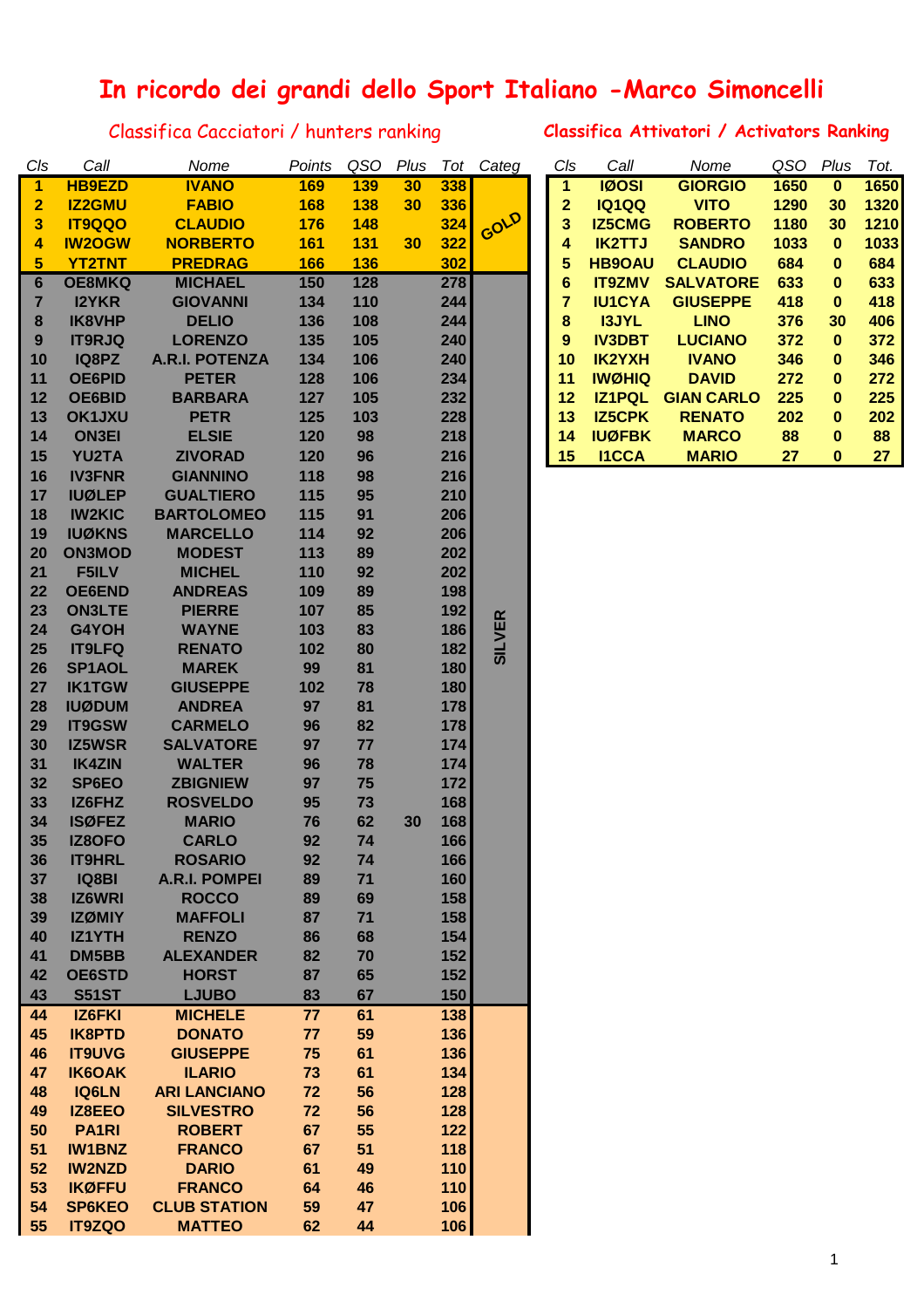## **In ricordo dei grandi dello Sport Italiano -Marco Simoncelli**

Classifica Cacciatori / hunters ranking **Classifica Attivatori / Activators Ranking**

| Cls             | Call          | Nome                  | Points          | QSO | Plus | Tot | Categ         | Cls            | Call          | Nome              | QSO  | Plus        | Tot. |
|-----------------|---------------|-----------------------|-----------------|-----|------|-----|---------------|----------------|---------------|-------------------|------|-------------|------|
| 1               | <b>HB9EZD</b> | <b>IVANO</b>          | 169             | 139 | 30   | 338 |               | $\mathbf{1}$   | <b>IØOSI</b>  | <b>GIORGIO</b>    | 1650 | $\bf{0}$    | 1650 |
| 2               | <b>IZ2GMU</b> | <b>FABIO</b>          | 168             | 138 | 30   | 336 |               | $\overline{2}$ | <b>IQ1QQ</b>  | <b>VITO</b>       | 1290 | 30          | 1320 |
| 3               | <b>IT9QQO</b> | <b>CLAUDIO</b>        | 176             | 148 |      | 324 | GOLD          | 3              | <b>IZ5CMG</b> | <b>ROBERTO</b>    | 1180 | 30          | 1210 |
| 4               | <b>IW2OGW</b> | <b>NORBERTO</b>       | 161             | 131 | 30   | 322 |               | 4              | <b>IK2TTJ</b> | <b>SANDRO</b>     | 1033 | $\mathbf 0$ | 1033 |
| 5               | <b>YT2TNT</b> | <b>PREDRAG</b>        | 166             | 136 |      | 302 |               | 5              | <b>HB9OAU</b> | <b>CLAUDIO</b>    | 684  | $\bf{0}$    | 684  |
|                 |               |                       |                 |     |      |     |               |                |               |                   |      |             |      |
| $6\phantom{1}6$ | <b>OE8MKQ</b> | <b>MICHAEL</b>        | 150             | 128 |      | 278 |               | 6              | <b>IT9ZMV</b> | <b>SALVATORE</b>  | 633  | $\bf{0}$    | 633  |
| 7               | <b>I2YKR</b>  | <b>GIOVANNI</b>       | 134             | 110 |      | 244 |               | $\overline{7}$ | <b>IU1CYA</b> | <b>GIUSEPPE</b>   | 418  | $\bf{0}$    | 418  |
| 8               | <b>IK8VHP</b> | <b>DELIO</b>          | 136             | 108 |      | 244 |               | 8              | <b>I3JYL</b>  | <b>LINO</b>       | 376  | 30          | 406  |
| 9               | <b>IT9RJQ</b> | <b>LORENZO</b>        | 135             | 105 |      | 240 |               | 9              | <b>IV3DBT</b> | <b>LUCIANO</b>    | 372  | $\bf{0}$    | 372  |
| 10              | IQ8PZ         | <b>A.R.I. POTENZA</b> | 134             | 106 |      | 240 |               | 10             | <b>IK2YXH</b> | <b>IVANO</b>      | 346  | $\bf{0}$    | 346  |
| 11              | <b>OE6PID</b> | <b>PETER</b>          | 128             | 106 |      | 234 |               | 11             | <b>IWØHIQ</b> | <b>DAVID</b>      | 272  | $\bf{0}$    | 272  |
| 12              | <b>OE6BID</b> | <b>BARBARA</b>        | 127             | 105 |      | 232 |               | 12             | <b>IZ1PQL</b> | <b>GIAN CARLO</b> | 225  | $\bf{0}$    | 225  |
| 13              | <b>OK1JXU</b> | <b>PETR</b>           | 125             | 103 |      | 228 |               | 13             | <b>IZ5CPK</b> | <b>RENATO</b>     | 202  | $\bf{0}$    | 202  |
| 14              | <b>ON3EI</b>  | <b>ELSIE</b>          | 120             | 98  |      | 218 |               | 14             | <b>IUØFBK</b> | <b>MARCO</b>      | 88   | $\bf{0}$    | 88   |
| 15              | <b>YU2TA</b>  | <b>ZIVORAD</b>        | 120             | 96  |      | 216 |               | 15             | <b>I1CCA</b>  | <b>MARIO</b>      | 27   | $\bf{0}$    | 27   |
| 16              | <b>IV3FNR</b> | <b>GIANNINO</b>       | 118             | 98  |      | 216 |               |                |               |                   |      |             |      |
| 17              | <b>IUØLEP</b> | <b>GUALTIERO</b>      | 115             | 95  |      | 210 |               |                |               |                   |      |             |      |
|                 |               | <b>BARTOLOMEO</b>     |                 |     |      |     |               |                |               |                   |      |             |      |
| 18              | <b>IW2KIC</b> |                       | 115             | 91  |      | 206 |               |                |               |                   |      |             |      |
| 19              | <b>IUØKNS</b> | <b>MARCELLO</b>       | 114             | 92  |      | 206 |               |                |               |                   |      |             |      |
| 20              | <b>ON3MOD</b> | <b>MODEST</b>         | 113             | 89  |      | 202 |               |                |               |                   |      |             |      |
| 21              | F5ILV         | <b>MICHEL</b>         | 110             | 92  |      | 202 |               |                |               |                   |      |             |      |
| 22              | <b>OE6END</b> | <b>ANDREAS</b>        | 109             | 89  |      | 198 |               |                |               |                   |      |             |      |
| 23              | <b>ON3LTE</b> | <b>PIERRE</b>         | 107             | 85  |      | 192 |               |                |               |                   |      |             |      |
| 24              | G4YOH         | <b>WAYNE</b>          | 103             | 83  |      | 186 |               |                |               |                   |      |             |      |
| 25              | <b>IT9LFQ</b> | <b>RENATO</b>         | 102             | 80  |      | 182 | <b>SILVER</b> |                |               |                   |      |             |      |
| 26              | <b>SP1AOL</b> | <b>MAREK</b>          | 99              | 81  |      | 180 |               |                |               |                   |      |             |      |
| 27              | <b>IK1TGW</b> | <b>GIUSEPPE</b>       | 102             | 78  |      | 180 |               |                |               |                   |      |             |      |
| 28              | <b>IUØDUM</b> | <b>ANDREA</b>         | 97              | 81  |      | 178 |               |                |               |                   |      |             |      |
| 29              | <b>IT9GSW</b> | <b>CARMELO</b>        | 96              | 82  |      | 178 |               |                |               |                   |      |             |      |
| 30              | <b>IZ5WSR</b> | <b>SALVATORE</b>      | 97              | 77  |      | 174 |               |                |               |                   |      |             |      |
| 31              | <b>IK4ZIN</b> | <b>WALTER</b>         | 96              | 78  |      | 174 |               |                |               |                   |      |             |      |
| 32              | SP6EO         | <b>ZBIGNIEW</b>       | 97              | 75  |      | 172 |               |                |               |                   |      |             |      |
| 33              | IZ6FHZ        | <b>ROSVELDO</b>       | 95              | 73  |      | 168 |               |                |               |                   |      |             |      |
| 34              | <b>ISØFEZ</b> | <b>MARIO</b>          | 76              | 62  | 30   | 168 |               |                |               |                   |      |             |      |
| 35              | <b>IZ8OFO</b> | <b>CARLO</b>          | 92              | 74  |      | 166 |               |                |               |                   |      |             |      |
| 36              | <b>IT9HRL</b> | <b>ROSARIO</b>        | 92              | 74  |      | 166 |               |                |               |                   |      |             |      |
| 37              | <b>IQ8BI</b>  | <b>A.R.I. POMPEI</b>  | 89              | 71  |      | 160 |               |                |               |                   |      |             |      |
| 38              | <b>IZ6WRI</b> | <b>ROCCO</b>          | 89              | 69  |      | 158 |               |                |               |                   |      |             |      |
| 39              | <b>IZØMIY</b> | <b>MAFFOLI</b>        | 87              | 71  |      | 158 |               |                |               |                   |      |             |      |
| 40              | <b>IZ1YTH</b> | <b>RENZO</b>          | 86              | 68  |      | 154 |               |                |               |                   |      |             |      |
| 41              | DM5BB         | <b>ALEXANDER</b>      | 82              | 70  |      | 152 |               |                |               |                   |      |             |      |
|                 |               |                       |                 |     |      |     |               |                |               |                   |      |             |      |
| 42              | <b>OE6STD</b> | <b>HORST</b>          | 87              | 65  |      | 152 |               |                |               |                   |      |             |      |
| 43              | <b>S51ST</b>  | <b>LJUBO</b>          | 83              | 67  |      | 150 |               |                |               |                   |      |             |      |
| 44              | <b>IZ6FKI</b> | <b>MICHELE</b>        | $\overline{77}$ | 61  |      | 138 |               |                |               |                   |      |             |      |
| 45              | <b>IK8PTD</b> | <b>DONATO</b>         | 77              | 59  |      | 136 |               |                |               |                   |      |             |      |
| 46              | <b>IT9UVG</b> | <b>GIUSEPPE</b>       | 75              | 61  |      | 136 |               |                |               |                   |      |             |      |
| 47              | <b>IK6OAK</b> | <b>ILARIO</b>         | 73              | 61  |      | 134 |               |                |               |                   |      |             |      |
| 48              | <b>IQ6LN</b>  | <b>ARI LANCIANO</b>   | 72              | 56  |      | 128 |               |                |               |                   |      |             |      |
| 49              | IZ8EEO        | <b>SILVESTRO</b>      | 72              | 56  |      | 128 |               |                |               |                   |      |             |      |
| 50              | <b>PA1RI</b>  | <b>ROBERT</b>         | 67              | 55  |      | 122 |               |                |               |                   |      |             |      |
| 51              | <b>IW1BNZ</b> | <b>FRANCO</b>         | 67              | 51  |      | 118 |               |                |               |                   |      |             |      |
| 52              | <b>IW2NZD</b> | <b>DARIO</b>          | 61              | 49  |      | 110 |               |                |               |                   |      |             |      |
| 53              | <b>IKØFFU</b> | <b>FRANCO</b>         | 64              | 46  |      | 110 |               |                |               |                   |      |             |      |
| 54              | <b>SP6KEO</b> | <b>CLUB STATION</b>   | 59              | 47  |      | 106 |               |                |               |                   |      |             |      |
| 55              | <b>IT9ZQO</b> | <b>MATTEO</b>         | 62              | 44  |      | 106 |               |                |               |                   |      |             |      |
|                 |               |                       |                 |     |      |     |               |                |               |                   |      |             |      |

| Cls     | Call          | Nome              | QSO  | Plus | Tot. |
|---------|---------------|-------------------|------|------|------|
| 1       | <b>IØOSI</b>  | <b>GIORGIO</b>    | 1650 | 0    | 1650 |
| 2       | <b>IQ1QQ</b>  | <b>VITO</b>       | 1290 | 30   | 1320 |
| 3       | <b>IZ5CMG</b> | <b>ROBERTO</b>    | 1180 | 30   | 1210 |
| 4       | <b>IK2TTJ</b> | <b>SANDRO</b>     | 1033 | 0    | 1033 |
| 5       | <b>HB9OAU</b> | <b>CLAUDIO</b>    | 684  | 0    | 684  |
| 6       | <b>IT9ZMV</b> | <b>SALVATORE</b>  | 633  | 0    | 633  |
| 7       | <b>IU1CYA</b> | <b>GIUSEPPE</b>   | 418  | 0    | 418  |
| 8       | <b>I3JYL</b>  | <b>LINO</b>       | 376  | 30   | 406  |
| 9       | <b>IV3DBT</b> | <b>LUCIANO</b>    | 372  | 0    | 372  |
| 10      | <b>IK2YXH</b> | <b>IVANO</b>      | 346  | 0    | 346  |
| 11      | <b>IWØHIQ</b> | <b>DAVID</b>      | 272  | 0    | 272  |
| $12 \,$ | <b>IZ1PQL</b> | <b>GIAN CARLO</b> | 225  | O    | 225  |
| 13      | <b>IZ5CPK</b> | <b>RENATO</b>     | 202  | 0    | 202  |
| 14      | <b>IUØFBK</b> | <b>MARCO</b>      | 88   | 0    | 88   |
| 15      | <b>I1CCA</b>  | <b>MARIO</b>      | 27   | 0    | 27   |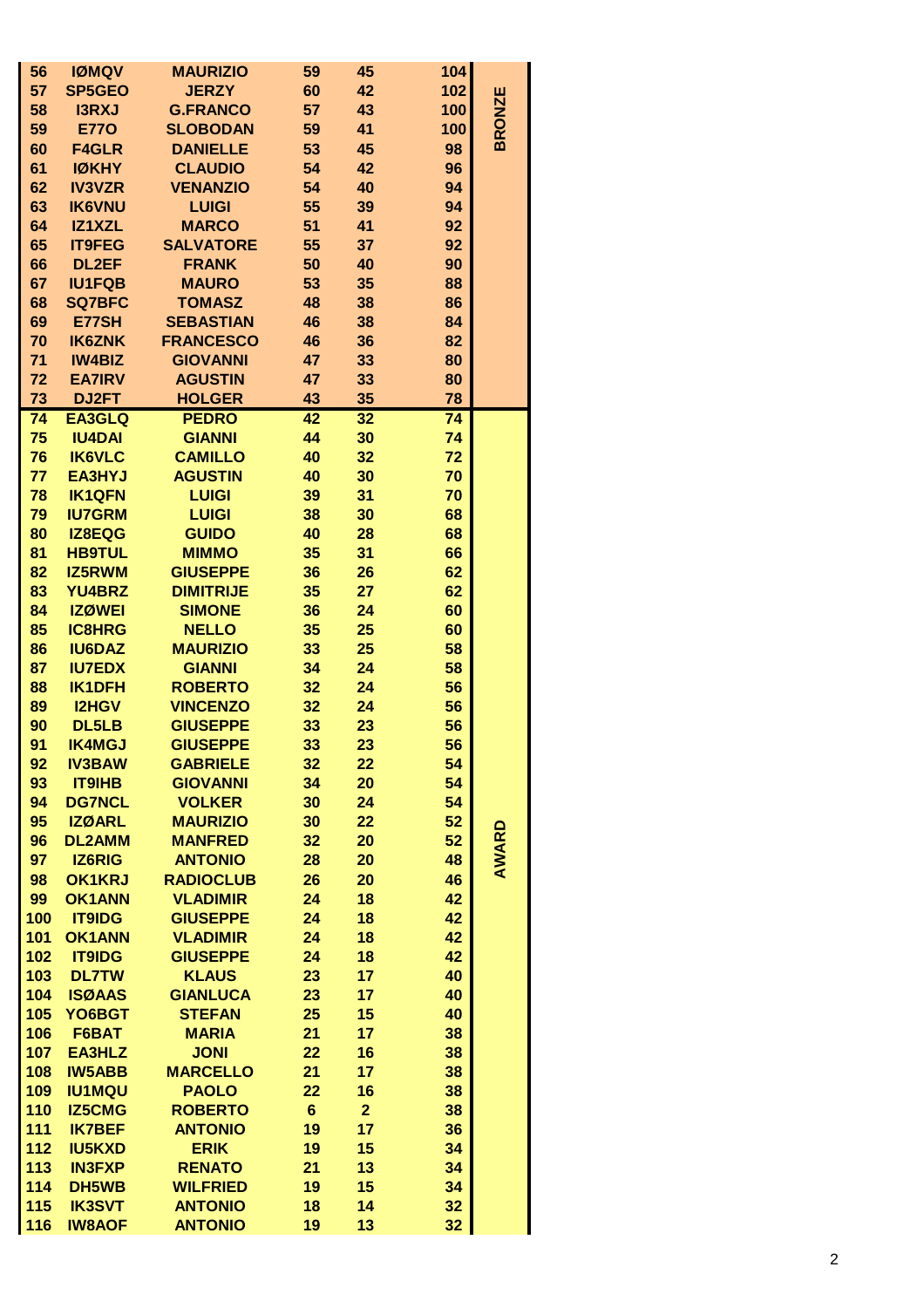| 56  | <b>IØMQV</b>  | <b>MAURIZIO</b>  | 59             | 45             | 104 |               |
|-----|---------------|------------------|----------------|----------------|-----|---------------|
| 57  | <b>SP5GEO</b> | <b>JERZY</b>     | 60             | 42             | 102 |               |
| 58  | <b>I3RXJ</b>  | <b>G.FRANCO</b>  | 57             | 43             | 100 | <b>BRONZE</b> |
| 59  | <b>E770</b>   | <b>SLOBODAN</b>  | 59             | 41             | 100 |               |
| 60  | <b>F4GLR</b>  | <b>DANIELLE</b>  | 53             | 45             | 98  |               |
| 61  | <b>IØKHY</b>  | <b>CLAUDIO</b>   | 54             | 42             | 96  |               |
|     |               |                  |                |                |     |               |
| 62  | <b>IV3VZR</b> | <b>VENANZIO</b>  | 54             | 40             | 94  |               |
| 63  | <b>IK6VNU</b> | <b>LUIGI</b>     | 55             | 39             | 94  |               |
| 64  | IZ1XZL        | <b>MARCO</b>     | 51             | 41             | 92  |               |
| 65  | <b>IT9FEG</b> | <b>SALVATORE</b> | 55             | 37             | 92  |               |
| 66  | <b>DL2EF</b>  | <b>FRANK</b>     | 50             | 40             | 90  |               |
| 67  | <b>IU1FQB</b> | <b>MAURO</b>     | 53             | 35             | 88  |               |
| 68  | <b>SQ7BFC</b> | <b>TOMASZ</b>    | 48             | 38             | 86  |               |
| 69  | E77SH         | <b>SEBASTIAN</b> | 46             | 38             | 84  |               |
| 70  | <b>IK6ZNK</b> | <b>FRANCESCO</b> | 46             | 36             | 82  |               |
| 71  | <b>IW4BIZ</b> |                  | 47             |                |     |               |
|     |               | <b>GIOVANNI</b>  |                | 33             | 80  |               |
| 72  | <b>EA7IRV</b> | <b>AGUSTIN</b>   | 47             | 33             | 80  |               |
| 73  | DJ2FT         | <b>HOLGER</b>    | 43             | 35             | 78  |               |
| 74  | <b>EA3GLQ</b> | <b>PEDRO</b>     | 42             | 32             | 74  |               |
| 75  | <b>IU4DAI</b> | <b>GIANNI</b>    | 44             | 30             | 74  |               |
| 76  | <b>IK6VLC</b> | <b>CAMILLO</b>   | 40             | 32             | 72  |               |
| 77  | <b>EA3HYJ</b> | <b>AGUSTIN</b>   | 40             | 30             | 70  |               |
| 78  | <b>IK1QFN</b> | <b>LUIGI</b>     | 39             | 31             | 70  |               |
| 79  | <b>IU7GRM</b> | <b>LUIGI</b>     | 38             | 30             | 68  |               |
| 80  | IZ8EQG        | <b>GUIDO</b>     | 40             | 28             | 68  |               |
|     | <b>HB9TUL</b> | <b>MIMMO</b>     |                |                |     |               |
| 81  |               |                  | 35             | 31             | 66  |               |
| 82  | <b>IZ5RWM</b> | <b>GIUSEPPE</b>  | 36             | 26             | 62  |               |
| 83  | <b>YU4BRZ</b> | <b>DIMITRIJE</b> | 35             | 27             | 62  |               |
| 84  | <b>IZØWEI</b> | <b>SIMONE</b>    | 36             | 24             | 60  |               |
| 85  | <b>IC8HRG</b> | <b>NELLO</b>     | 35             | 25             | 60  |               |
| 86  | <b>IU6DAZ</b> | <b>MAURIZIO</b>  | 33             | 25             | 58  |               |
| 87  | <b>IU7EDX</b> | <b>GIANNI</b>    | 34             | 24             | 58  |               |
| 88  | <b>IK1DFH</b> | <b>ROBERTO</b>   | 32             | 24             | 56  |               |
| 89  | <b>I2HGV</b>  | <b>VINCENZO</b>  | 32             | 24             | 56  |               |
| 90  | DL5LB         | <b>GIUSEPPE</b>  | 33             | 23             | 56  |               |
| 91  |               | <b>GIUSEPPE</b>  | 33             |                | 56  |               |
|     | <b>IK4MGJ</b> |                  |                | 23             |     |               |
| 92  | <b>IV3BAW</b> | <b>GABRIELE</b>  | 32             | 22             | 54  |               |
| 93  | <b>IT9IHB</b> | <b>GIOVANNI</b>  | 34             | 20             | 54  |               |
| 94  | <b>DG7NCL</b> | <b>VOLKER</b>    | 30             | 24             | 54  |               |
| 95  | <b>IZØARL</b> | <b>MAURIZIO</b>  | 30             | 22             | 52  |               |
| 96  | <b>DL2AMM</b> | <b>MANFRED</b>   | 32             | 20             | 52  |               |
| 97  | <b>IZ6RIG</b> | <b>ANTONIO</b>   | 28             | 20             | 48  | AWARD         |
| 98  | <b>OK1KRJ</b> | <b>RADIOCLUB</b> | 26             | 20             | 46  |               |
| 99  | <b>OK1ANN</b> | <b>VLADIMIR</b>  | 24             | 18             | 42  |               |
| 100 | <b>IT9IDG</b> | <b>GIUSEPPE</b>  | 24             | 18             | 42  |               |
| 101 | <b>OK1ANN</b> | <b>VLADIMIR</b>  | 24             | 18             | 42  |               |
| 102 | <b>IT9IDG</b> | <b>GIUSEPPE</b>  | 24             | 18             | 42  |               |
|     |               |                  |                |                |     |               |
| 103 | <b>DL7TW</b>  | <b>KLAUS</b>     | 23             | 17             | 40  |               |
| 104 | <b>ISØAAS</b> | <b>GIANLUCA</b>  | 23             | 17             | 40  |               |
| 105 | YO6BGT        | <b>STEFAN</b>    | 25             | 15             | 40  |               |
| 106 | F6BAT         | <b>MARIA</b>     | 21             | 17             | 38  |               |
| 107 | <b>EA3HLZ</b> | <b>JONI</b>      | 22             | 16             | 38  |               |
| 108 | <b>IW5ABB</b> | <b>MARCELLO</b>  | 21             | 17             | 38  |               |
| 109 | <b>IU1MQU</b> | <b>PAOLO</b>     | 22             | 16             | 38  |               |
| 110 | <b>IZ5CMG</b> | <b>ROBERTO</b>   | $6\phantom{1}$ | $\overline{2}$ | 38  |               |
| 111 | <b>IK7BEF</b> | <b>ANTONIO</b>   | 19             | 17             | 36  |               |
| 112 | <b>IU5KXD</b> | <b>ERIK</b>      | 19             | 15             | 34  |               |
| 113 | <b>IN3FXP</b> | <b>RENATO</b>    | 21             | 13             |     |               |
|     |               |                  |                |                | 34  |               |
| 114 | DH5WB         | <b>WILFRIED</b>  | 19             | 15             | 34  |               |
| 115 | <b>IK3SVT</b> | <b>ANTONIO</b>   | 18             | 14             | 32  |               |
| 116 | <b>IW8AOF</b> | <b>ANTONIO</b>   | 19             | 13             | 32  |               |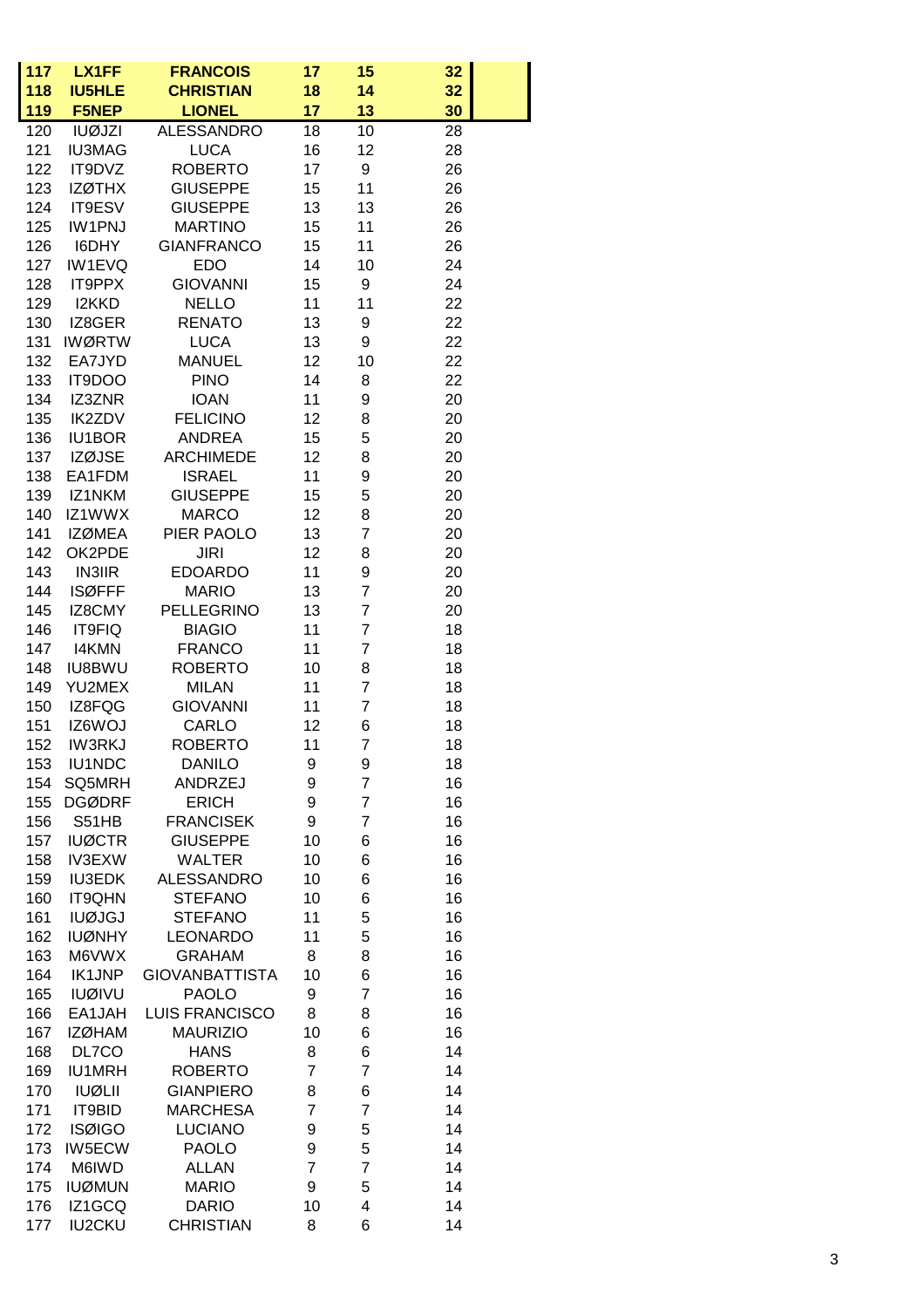| 117<br>118 | LX1FF<br><b>IU5HLE</b>  | <b>FRANCOIS</b><br><b>CHRISTIAN</b> | 17<br>18       | 15<br>14                         | 32 <sub>2</sub><br>32 |
|------------|-------------------------|-------------------------------------|----------------|----------------------------------|-----------------------|
| 119        | <b>F5NEP</b>            | <b>LIONEL</b>                       | 17             | 13                               | 30                    |
| 120        | <b>IUØJZI</b>           | <b>ALESSANDRO</b>                   | 18             | 10                               | 28                    |
| 121        | <b>IU3MAG</b>           | <b>LUCA</b>                         | 16             | 12                               | 28                    |
| 122        | IT9DVZ                  | <b>ROBERTO</b>                      | 17             | 9                                | 26                    |
| 123        | <b>IZØTHX</b>           | <b>GIUSEPPE</b>                     | 15             | 11                               | 26                    |
| 124        | IT9ESV                  | <b>GIUSEPPE</b>                     | 13             | 13                               | 26                    |
| 125        | <b>IW1PNJ</b>           | <b>MARTINO</b>                      | 15             | 11                               | 26                    |
| 126        | I6DHY                   | <b>GIANFRANCO</b>                   | 15             | 11                               | 26                    |
| 127        | IW1EVQ                  | <b>EDO</b>                          | 14             | 10                               | 24                    |
| 128        | IT9PPX                  | <b>GIOVANNI</b>                     | 15             | 9                                | 24                    |
| 129        | I2KKD                   | <b>NELLO</b>                        | 11             | 11                               | 22                    |
| 130        | IZ8GER                  | <b>RENATO</b>                       | 13             | 9                                | 22                    |
| 131        | <b>IWØRTW</b>           | <b>LUCA</b>                         | 13             | 9                                | 22                    |
| 132        | EA7JYD                  | <b>MANUEL</b>                       | 12             | 10                               | 22                    |
| 133        | IT9DOO                  | <b>PINO</b>                         | 14             | 8                                | 22                    |
| 134        | IZ3ZNR                  | <b>IOAN</b>                         | 11             | 9                                | 20                    |
| 135        | <b>IK2ZDV</b>           | <b>FELICINO</b>                     | 12             | 8                                | 20                    |
| 136        | <b>IU1BOR</b>           | <b>ANDREA</b>                       | 15             | 5                                | 20                    |
| 137        | <b>IZØJSE</b>           | <b>ARCHIMEDE</b>                    | 12             | 8                                | 20                    |
| 138        | EA1FDM                  | <b>ISRAEL</b>                       | 11             | 9                                | 20                    |
| 139        | IZ1NKM                  | <b>GIUSEPPE</b>                     | 15             | 5                                | 20                    |
| 140        | IZ1WWX                  | <b>MARCO</b>                        | 12             | 8                                | 20                    |
| 141        | <b>IZØMEA</b>           | PIER PAOLO                          | 13             | 7                                | 20                    |
| 142        | OK2PDE                  | <b>JIRI</b>                         | 12             | 8                                | 20                    |
| 143        | <b>IN3IIR</b>           | <b>EDOARDO</b>                      | 11             | 9                                | 20                    |
| 144        | <b>ISØFFF</b>           | <b>MARIO</b>                        | 13             | $\overline{7}$                   | 20                    |
| 145        | IZ8CMY                  | <b>PELLEGRINO</b>                   | 13             | $\overline{7}$<br>$\overline{7}$ | 20                    |
| 146        | IT9FIQ                  | <b>BIAGIO</b>                       | 11             |                                  | 18                    |
| 147        | <b>I4KMN</b>            | <b>FRANCO</b><br><b>ROBERTO</b>     | 11<br>10       | $\overline{7}$                   | 18<br>18              |
| 148<br>149 | <b>IU8BWU</b><br>YU2MEX | <b>MILAN</b>                        | 11             | 8<br>$\overline{7}$              | 18                    |
| 150        | IZ8FQG                  | <b>GIOVANNI</b>                     | 11             | $\overline{7}$                   | 18                    |
| 151        | IZ6WOJ                  | CARLO                               | 12             | 6                                | 18                    |
| 152        | <b>IW3RKJ</b>           | <b>ROBERTO</b>                      | 11             | $\overline{7}$                   | 18                    |
| 153        | <b>IU1NDC</b>           | <b>DANILO</b>                       | 9              | 9                                | 18                    |
| 154        | SQ5MRH                  | ANDRZEJ                             | 9              | $\overline{7}$                   | 16                    |
| 155        | <b>DGØDRF</b>           | <b>ERICH</b>                        | 9              | $\overline{7}$                   | 16                    |
| 156        | S51HB                   | <b>FRANCISEK</b>                    | 9              | 7                                | 16                    |
| 157        | <b>IUØCTR</b>           | <b>GIUSEPPE</b>                     | 10             | 6                                | 16                    |
| 158        | IV3EXW                  | <b>WALTER</b>                       | 10             | 6                                | 16                    |
| 159        | <b>IU3EDK</b>           | <b>ALESSANDRO</b>                   | 10             | 6                                | 16                    |
| 160        | <b>IT9QHN</b>           | <b>STEFANO</b>                      | 10             | 6                                | 16                    |
| 161        | <b>IUØJGJ</b>           | <b>STEFANO</b>                      | 11             | 5                                | 16                    |
| 162        | <b>IUØNHY</b>           | <b>LEONARDO</b>                     | 11             | 5                                | 16                    |
| 163        | M6VWX                   | <b>GRAHAM</b>                       | 8              | 8                                | 16                    |
| 164        | IK1JNP                  | <b>GIOVANBATTISTA</b>               | 10             | 6                                | 16                    |
| 165        | <b>IUØIVU</b>           | <b>PAOLO</b>                        | 9              | $\overline{7}$                   | 16                    |
| 166        | EA1JAH                  | <b>LUIS FRANCISCO</b>               | 8              | 8                                | 16                    |
| 167        | <b>IZØHAM</b>           | <b>MAURIZIO</b>                     | 10             | 6                                | 16                    |
| 168        | DL7CO                   | <b>HANS</b>                         | 8              | 6                                | 14                    |
| 169        | <b>IU1MRH</b>           | <b>ROBERTO</b>                      | $\overline{7}$ | $\overline{7}$                   | 14                    |
| 170        | <b>IUØLII</b>           | <b>GIANPIERO</b>                    | 8              | 6                                | 14                    |
| 171        | IT9BID                  | <b>MARCHESA</b>                     | $\overline{7}$ | $\overline{7}$                   | 14                    |
| 172        | <b>ISØIGO</b>           | <b>LUCIANO</b>                      | 9              | 5                                | 14                    |
| 173        | <b>IW5ECW</b>           | <b>PAOLO</b>                        | 9              | 5                                | 14                    |
| 174        | M6IWD                   | <b>ALLAN</b>                        | $\overline{7}$ | $\overline{7}$                   | 14                    |
| 175        | <b>IUØMUN</b>           | <b>MARIO</b>                        | 9              | 5                                | 14                    |
| 176        | IZ1GCQ                  | <b>DARIO</b>                        | 10             | 4                                | 14                    |
| 177        | <b>IU2CKU</b>           | <b>CHRISTIAN</b>                    | 8              | 6                                | 14                    |